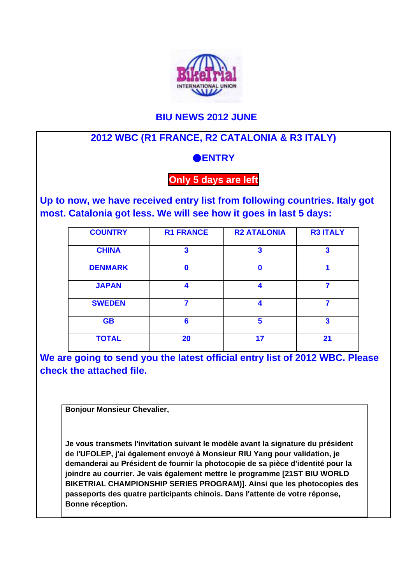

## **BIU NEWS 2012 JUNE**

## **2012 WBC (R1 FRANCE, R2 CATALONIA & R3 ITALY)**

## ●**ENTRY**

## **Only 5 days are left**

**Up to now, we have received entry list from following countries. Italy got most. Catalonia got less. We will see how it goes in last 5 days:**

| <b>COUNTRY</b> | <b>R1 FRANCE</b> | <b>R2 ATALONIA</b> | <b>R3 ITALY</b>         |
|----------------|------------------|--------------------|-------------------------|
| <b>CHINA</b>   | $\mathbf{3}$     | 3                  | $\overline{\mathbf{3}}$ |
| <b>DENMARK</b> | n                | Ω                  |                         |
| <b>JAPAN</b>   | 4                | Δ                  | 7                       |
| <b>SWEDEN</b>  | 7                | Δ                  |                         |
| <b>GB</b>      | 6                | 5                  | 3                       |
| <b>TOTAL</b>   | 20               | 17                 | 21                      |

**We are going to send you the latest official entry list of 2012 WBC. Please check the attached file.**

**Bonjour Monsieur Chevalier,** 

**Je vous transmets l'invitation suivant le modèle avant la signature du président de l'UFOLEP, j'ai également envoyé à Monsieur RIU Yang pour validation, je demanderai au Président de fournir la photocopie de sa pièce d'identité pour la joindre au courrier. Je vais également mettre le programme [21ST BIU WORLD BIKETRIAL CHAMPIONSHIP SERIES PROGRAM)]. Ainsi que les photocopies des passeports des quatre participants chinois. Dans l'attente de votre réponse, Bonne réception.**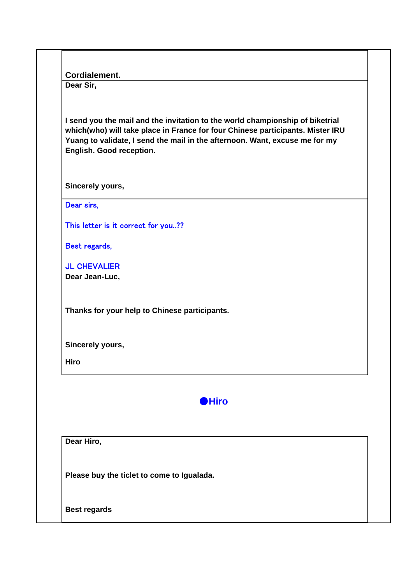| Cordialement. |  |
|---------------|--|
|               |  |

**Dear Sir,**

**I send you the mail and the invitation to the world championship of biketrial which(who) will take place in France for four Chinese participants. Mister IRU Yuang to validate, I send the mail in the afternoon. Want, excuse me for my English. Good reception.**

**Sincerely yours,**

Dear sirs.

This letter is it correct for you..??

Best regards,

JL CHEVALIER

**Dear Jean-Luc,**

**Thanks for your help to Chinese participants.**

**Sincerely yours,**

**Hiro**



**Dear Hiro,**

**Please buy the ticlet to come to Igualada.**

**Best regards**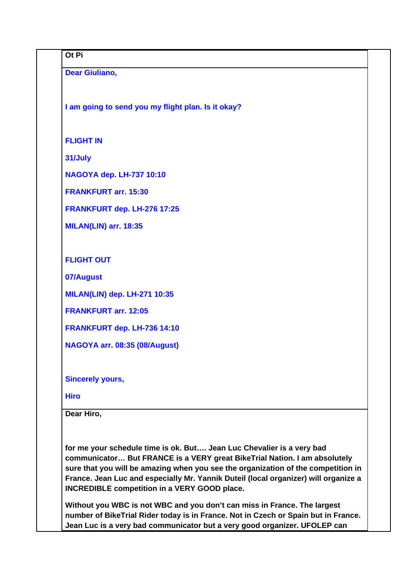| <b>Dear Giuliano,</b><br>I am going to send you my flight plan. Is it okay?<br><b>FLIGHT IN</b><br>31/July<br><b>NAGOYA dep. LH-737 10:10</b><br><b>FRANKFURT arr. 15:30</b><br>FRANKFURT dep. LH-276 17:25<br>MILAN(LIN) arr. 18:35<br><b>FLIGHT OUT</b><br>07/August<br><b>MILAN(LIN) dep. LH-271 10:35</b><br><b>FRANKFURT arr. 12:05</b><br>FRANKFURT dep. LH-736 14:10<br>NAGOYA arr. 08:35 (08/August)<br><b>Sincerely yours,</b><br><b>Hiro</b> | Ot Pi                                                                                                                                                                                                                                       |  |
|--------------------------------------------------------------------------------------------------------------------------------------------------------------------------------------------------------------------------------------------------------------------------------------------------------------------------------------------------------------------------------------------------------------------------------------------------------|---------------------------------------------------------------------------------------------------------------------------------------------------------------------------------------------------------------------------------------------|--|
|                                                                                                                                                                                                                                                                                                                                                                                                                                                        |                                                                                                                                                                                                                                             |  |
|                                                                                                                                                                                                                                                                                                                                                                                                                                                        |                                                                                                                                                                                                                                             |  |
|                                                                                                                                                                                                                                                                                                                                                                                                                                                        |                                                                                                                                                                                                                                             |  |
|                                                                                                                                                                                                                                                                                                                                                                                                                                                        |                                                                                                                                                                                                                                             |  |
|                                                                                                                                                                                                                                                                                                                                                                                                                                                        |                                                                                                                                                                                                                                             |  |
|                                                                                                                                                                                                                                                                                                                                                                                                                                                        |                                                                                                                                                                                                                                             |  |
|                                                                                                                                                                                                                                                                                                                                                                                                                                                        |                                                                                                                                                                                                                                             |  |
|                                                                                                                                                                                                                                                                                                                                                                                                                                                        |                                                                                                                                                                                                                                             |  |
|                                                                                                                                                                                                                                                                                                                                                                                                                                                        |                                                                                                                                                                                                                                             |  |
|                                                                                                                                                                                                                                                                                                                                                                                                                                                        |                                                                                                                                                                                                                                             |  |
|                                                                                                                                                                                                                                                                                                                                                                                                                                                        |                                                                                                                                                                                                                                             |  |
|                                                                                                                                                                                                                                                                                                                                                                                                                                                        |                                                                                                                                                                                                                                             |  |
|                                                                                                                                                                                                                                                                                                                                                                                                                                                        |                                                                                                                                                                                                                                             |  |
|                                                                                                                                                                                                                                                                                                                                                                                                                                                        |                                                                                                                                                                                                                                             |  |
|                                                                                                                                                                                                                                                                                                                                                                                                                                                        |                                                                                                                                                                                                                                             |  |
|                                                                                                                                                                                                                                                                                                                                                                                                                                                        |                                                                                                                                                                                                                                             |  |
|                                                                                                                                                                                                                                                                                                                                                                                                                                                        |                                                                                                                                                                                                                                             |  |
|                                                                                                                                                                                                                                                                                                                                                                                                                                                        | Dear Hiro,                                                                                                                                                                                                                                  |  |
|                                                                                                                                                                                                                                                                                                                                                                                                                                                        |                                                                                                                                                                                                                                             |  |
| for me your schedule time is ok. But Jean Luc Chevalier is a very bad<br>communicator But FRANCE is a VERY great BikeTrial Nation. I am absolutely<br>sure that you will be amazing when you see the organization of the competition in<br>France. Jean Luc and especially Mr. Yannik Duteil (local organizer) will organize a<br><b>INCREDIBLE competition in a VERY GOOD place.</b>                                                                  | Without you WBC is not WBC and you don't can miss in France. The largest<br>number of BikeTrial Rider today is in France. Not in Czech or Spain but in France.<br>Jean Luc is a very bad communicator but a very good organizer. UFOLEP can |  |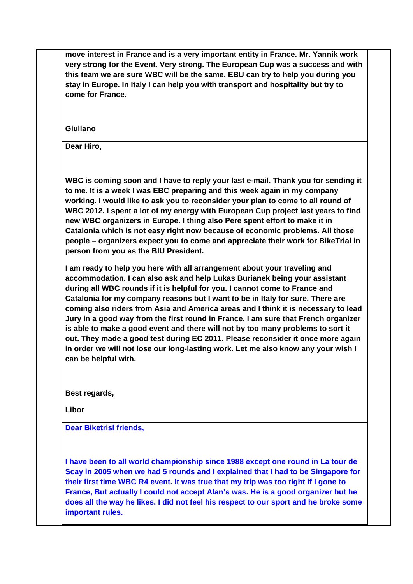**move interest in France and is a very important entity in France. Mr. Yannik work very strong for the Event. Very strong. The European Cup was a success and with this team we are sure WBC will be the same. EBU can try to help you during you stay in Europe. In Italy I can help you with transport and hospitality but try to come for France.** 

**Giuliano**

**Dear Hiro,**

**WBC is coming soon and I have to reply your last e-mail. Thank you for sending it to me. It is a week I was EBC preparing and this week again in my company working. I would like to ask you to reconsider your plan to come to all round of WBC 2012. I spent a lot of my energy with European Cup project last years to find new WBC organizers in Europe. I thing also Pere spent effort to make it in Catalonia which is not easy right now because of economic problems. All those people – organizers expect you to come and appreciate their work for BikeTrial in person from you as the BIU President.**

**I am ready to help you here with all arrangement about your traveling and accommodation. I can also ask and help Lukas Burianek being your assistant during all WBC rounds if it is helpful for you. I cannot come to France and Catalonia for my company reasons but I want to be in Italy for sure. There are coming also riders from Asia and America areas and I think it is necessary to lead Jury in a good way from the first round in France. I am sure that French organizer is able to make a good event and there will not by too many problems to sort it out. They made a good test during EC 2011. Please reconsider it once more again in order we will not lose our long-lasting work. Let me also know any your wish I can be helpful with.**

**Best regards,**

**Libor**

**Dear Biketrisl friends,**

**I have been to all world championship since 1988 except one round in La tour de Scay in 2005 when we had 5 rounds and I explained that I had to be Singapore for their first time WBC R4 event. It was true that my trip was too tight if I gone to France, But actually I could not accept Alan's was. He is a good organizer but he does all the way he likes. I did not feel his respect to our sport and he broke some important rules.**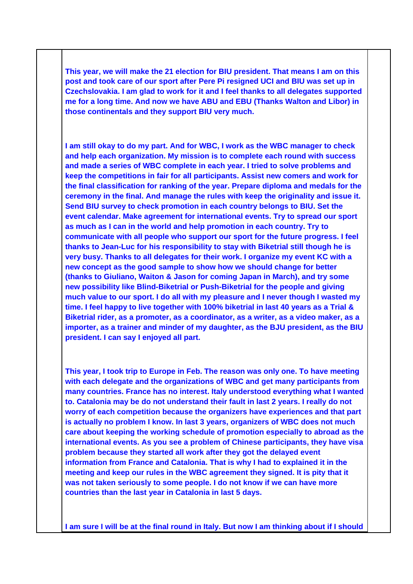**This year, we will make the 21 election for BIU president. That means I am on this post and took care of our sport after Pere Pi resigned UCI and BIU was set up in Czechslovakia. I am glad to work for it and I feel thanks to all delegates supported me for a long time. And now we have ABU and EBU (Thanks Walton and Libor) in those continentals and they support BIU very much.** 

**I am still okay to do my part. And for WBC, I work as the WBC manager to check and help each organization. My mission is to complete each round with success and made a series of WBC complete in each year. I tried to solve problems and keep the competitions in fair for all participants. Assist new comers and work for the final classification for ranking of the year. Prepare diploma and medals for the ceremony in the final. And manage the rules with keep the originality and issue it. Send BIU survey to check promotion in each country belongs to BIU. Set the event calendar. Make agreement for international events. Try to spread our sport as much as I can in the world and help promotion in each country. Try to communicate with all people who support our sport for the future progress. I feel thanks to Jean-Luc for his responsibility to stay with Biketrial still though he is very busy. Thanks to all delegates for their work. I organize my event KC with a new concept as the good sample to show how we should change for better (thanks to Giuliano, Waiton & Jason for coming Japan in March), and try some new possibility like Blind-Biketrial or Push-Biketrial for the people and giving much value to our sport. I do all with my pleasure and I never though I wasted my time. I feel happy to live together with 100% biketrial in last 40 years as a Trial & Biketrial rider, as a promoter, as a coordinator, as a writer, as a video maker, as a importer, as a trainer and minder of my daughter, as the BJU president, as the BIU president. I can say I enjoyed all part.** 

**This year, I took trip to Europe in Feb. The reason was only one. To have meeting with each delegate and the organizations of WBC and get many participants from many countries. France has no interest. Italy understood everything what I wanted to. Catalonia may be do not understand their fault in last 2 years. I really do not worry of each competition because the organizers have experiences and that part is actually no problem I know. In last 3 years, organizers of WBC does not much care about keeping the working schedule of promotion especially to abroad as the international events. As you see a problem of Chinese participants, they have visa problem because they started all work after they got the delayed event information from France and Catalonia. That is why I had to explained it in the meeting and keep our rules in the WBC agreement they signed. It is pity that it was not taken seriously to some people. I do not know if we can have more countries than the last year in Catalonia in last 5 days.** 

**I am sure I will be at the final round in Italy. But now I am thinking about if I should**